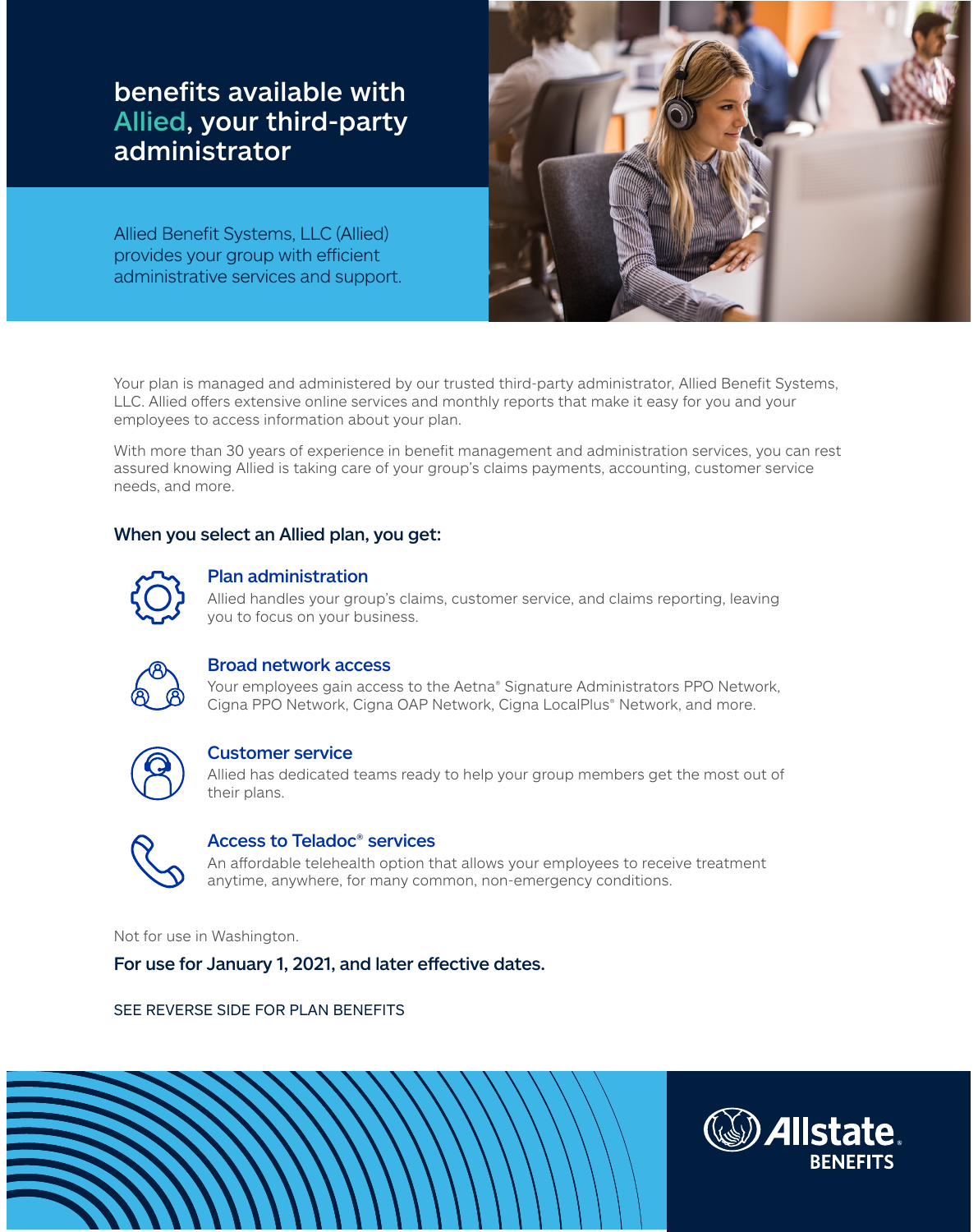benefits available with Allied, your third-party administrator

Allied Benefit Systems, LLC (Allied) provides your group with efficient administrative services and support.



Your plan is managed and administered by our trusted third-party administrator, Allied Benefit Systems, LLC. Allied offers extensive online services and monthly reports that make it easy for you and your employees to access information about your plan.

With more than 30 years of experience in benefit management and administration services, you can rest assured knowing Allied is taking care of your group's claims payments, accounting, customer service needs, and more.

# When you select an Allied plan, you get:



# Plan administration

Allied handles your group's claims, customer service, and claims reporting, leaving you to focus on your business.



## Broad network access

Your employees gain access to the Aetna® Signature Administrators PPO Network, Cigna PPO Network, Cigna OAP Network, Cigna LocalPlus® Network, and more.



# Customer service

Allied has dedicated teams ready to help your group members get the most out of their plans.



# Access to Teladoc® services

An affordable telehealth option that allows your employees to receive treatment anytime, anywhere, for many common, non-emergency conditions.

Not for use in Washington.

For use for January 1, 2021, and later effective dates.

SEE REVERSE SIDE FOR PLAN BENEFITS